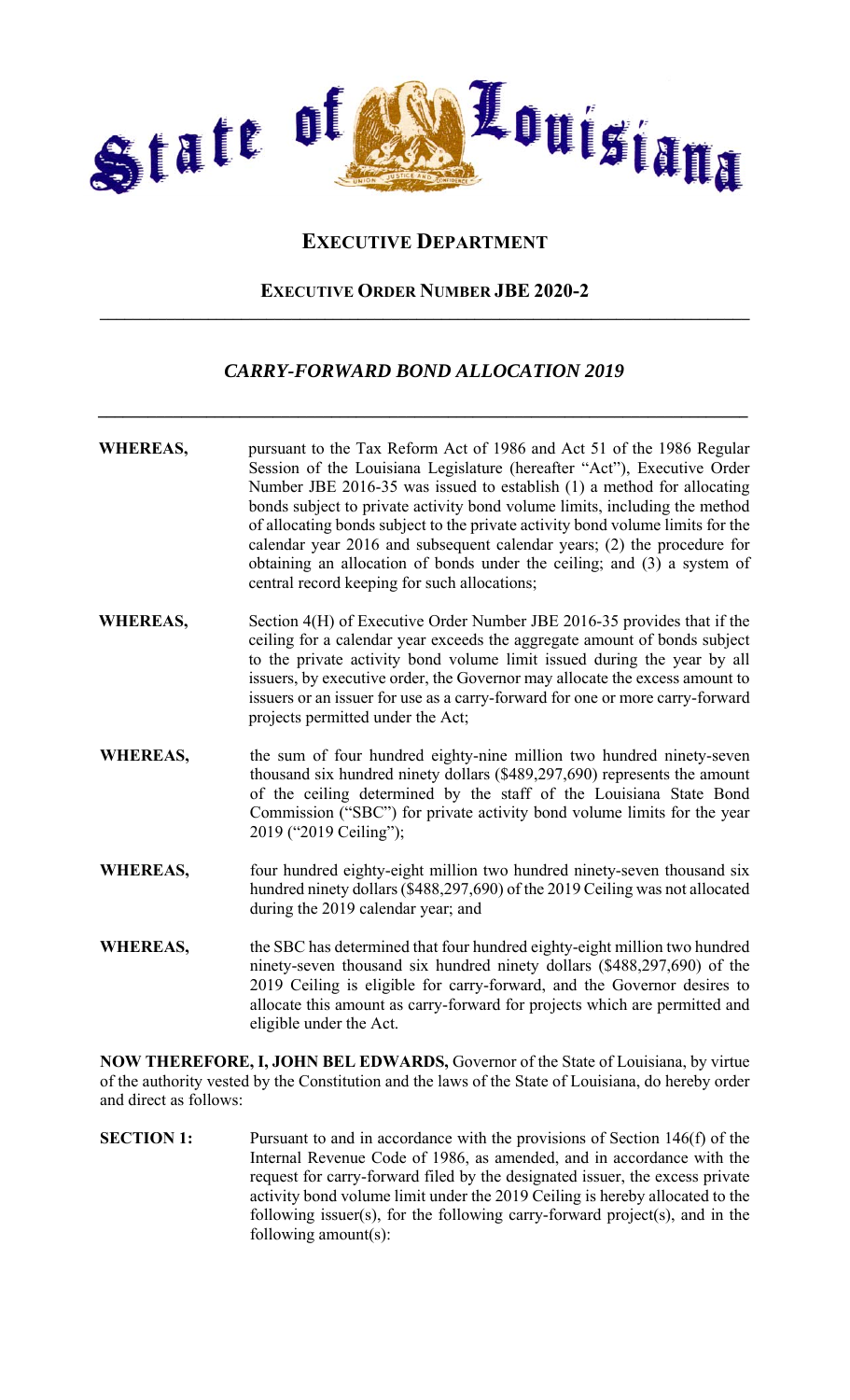

## **EXECUTIVE DEPARTMENT**

**EXECUTIVE ORDER NUMBER JBE 2020-2 \_\_\_\_\_\_\_\_\_\_\_\_\_\_\_\_\_\_\_\_\_\_\_\_\_\_\_\_\_\_\_\_\_\_\_\_\_\_\_\_\_\_\_\_\_\_\_\_\_\_\_\_\_\_\_\_\_\_\_\_\_\_\_\_\_\_\_\_\_\_\_\_\_\_\_\_\_\_** 

## *CARRY-FORWARD BOND ALLOCATION 2019*

*\_\_\_\_\_\_\_\_\_\_\_\_\_\_\_\_\_\_\_\_\_\_\_\_\_\_\_\_\_\_\_\_\_\_\_\_\_\_\_\_\_\_\_\_\_\_\_\_\_\_\_\_\_\_\_\_\_\_\_\_\_\_\_\_\_\_\_\_\_\_\_\_\_\_\_\_\_\_*

| <b>WHEREAS,</b>                                                                                                                                                                                                                                                                                                                                                                                                                                         | pursuant to the Tax Reform Act of 1986 and Act 51 of the 1986 Regular<br>Session of the Louisiana Legislature (hereafter "Act"), Executive Order<br>Number JBE 2016-35 was issued to establish (1) a method for allocating<br>bonds subject to private activity bond volume limits, including the method<br>of allocating bonds subject to the private activity bond volume limits for the<br>calendar year 2016 and subsequent calendar years; (2) the procedure for<br>obtaining an allocation of bonds under the ceiling; and (3) a system of<br>central record keeping for such allocations; |  |  |  |
|---------------------------------------------------------------------------------------------------------------------------------------------------------------------------------------------------------------------------------------------------------------------------------------------------------------------------------------------------------------------------------------------------------------------------------------------------------|--------------------------------------------------------------------------------------------------------------------------------------------------------------------------------------------------------------------------------------------------------------------------------------------------------------------------------------------------------------------------------------------------------------------------------------------------------------------------------------------------------------------------------------------------------------------------------------------------|--|--|--|
| <b>WHEREAS,</b><br>Section 4(H) of Executive Order Number JBE 2016-35 provides that if the<br>ceiling for a calendar year exceeds the aggregate amount of bonds subject<br>to the private activity bond volume limit issued during the year by all<br>issuers, by executive order, the Governor may allocate the excess amount to<br>issuers or an issuer for use as a carry-forward for one or more carry-forward<br>projects permitted under the Act; |                                                                                                                                                                                                                                                                                                                                                                                                                                                                                                                                                                                                  |  |  |  |
| <b>WHEREAS,</b>                                                                                                                                                                                                                                                                                                                                                                                                                                         | the sum of four hundred eighty-nine million two hundred ninety-seven<br>thousand six hundred ninety dollars (\$489,297,690) represents the amount<br>of the ceiling determined by the staff of the Louisiana State Bond<br>Commission ("SBC") for private activity bond volume limits for the year<br>2019 ("2019 Ceiling");                                                                                                                                                                                                                                                                     |  |  |  |
| <b>WHEREAS,</b>                                                                                                                                                                                                                                                                                                                                                                                                                                         | four hundred eighty-eight million two hundred ninety-seven thousand six<br>hundred ninety dollars (\$488,297,690) of the 2019 Ceiling was not allocated<br>during the 2019 calendar year; and                                                                                                                                                                                                                                                                                                                                                                                                    |  |  |  |
| <b>WHEREAS,</b>                                                                                                                                                                                                                                                                                                                                                                                                                                         | the SBC has determined that four hundred eighty-eight million two hundred<br>ninety-seven thousand six hundred ninety dollars (\$488,297,690) of the<br>2019 Ceiling is eligible for carry-forward, and the Governor desires to<br>allocate this amount as carry-forward for projects which are permitted and<br>eligible under the Act.                                                                                                                                                                                                                                                         |  |  |  |
| MOW THEDERODE I JOHN DEL EDWADDS Corresponded State of Louisiana Institution                                                                                                                                                                                                                                                                                                                                                                            |                                                                                                                                                                                                                                                                                                                                                                                                                                                                                                                                                                                                  |  |  |  |

**NOW THEREFORE, I, JOHN BEL EDWARDS,** Governor of the State of Louisiana, by virtue of the authority vested by the Constitution and the laws of the State of Louisiana, do hereby order and direct as follows:

**SECTION 1:** Pursuant to and in accordance with the provisions of Section 146(f) of the Internal Revenue Code of 1986, as amended, and in accordance with the request for carry-forward filed by the designated issuer, the excess private activity bond volume limit under the 2019 Ceiling is hereby allocated to the following issuer(s), for the following carry-forward project(s), and in the following amount(s):